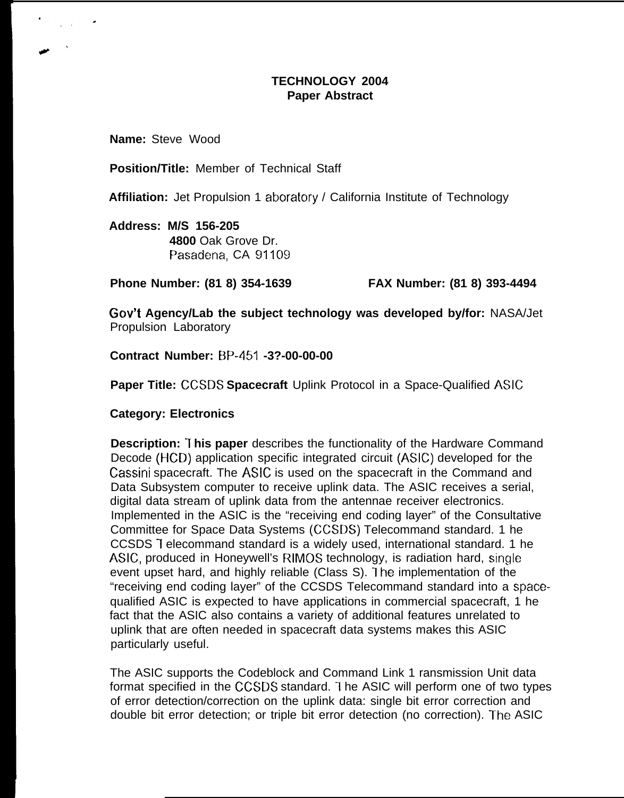## **TECHNOLOGY 2004 Paper Abstract**

**Name:** Steve Wood

**Position/Title:** Member of Technical Staff

**Affiliation:** Jet Propulsion 1 aboratory / California Institute of Technology

**Address: M/S 156-205 4800** Oak Grove Dr. Pasadena, CA 91109

**Phone Number: (81 8) 354-1639 FAX Number: (81 8) 393-4494**

**Gov't Agency/Lab the subject technology was developed by/for:** NASA/Jet Propulsion Laboratory

**Contract Number: BP-451 -3?-00-00-00**

**Paper Title: CCSDS Spacecraft** Uplink Protocol in a Space-Qualified ASIC

**Category: Electronics**

**Description: 1 his paper** describes the functionality of the Hardware Command Decode (HCD) application specific integrated circuit (ASIC) developed for the Cassini spacecraft. The ASIC is used on the spacecraft in the Command and Data Subsystem computer to receive uplink data. The ASIC receives a serial, digital data stream of uplink data from the antennae receiver electronics. Implemented in the ASIC is the "receiving end coding layer" of the Consultative Committee for Space Data Systems (CCSDS) Telecommand standard. 1 he CCSDS 1 elecommand standard is a widely used, international standard. 1 he ASIC, produced in Honeywell's RIMOS technology, is radiation hard, single event upset hard, and highly reliable (Class S). I he implementation of the "receiving end coding layer" of the CCSDS Telecommand standard into a spacequalified ASIC is expected to have applications in commercial spacecraft, 1 he fact that the ASIC also contains a variety of additional features unrelated to uplink that are often needed in spacecraft data systems makes this ASIC particularly useful.

The ASIC supports the Codeblock and Command Link 1 ransmission Unit data format specified in the CCSDS standard. The ASIC will perform one of two types of error detection/correction on the uplink data: single bit error correction and double bit error detection; or triple bit error detection (no correction). The ASIC